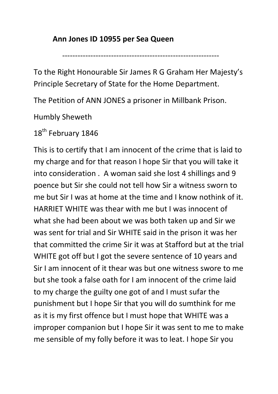## **Ann Jones ID 10955 per Sea Queen**

-------------------------------------------------------------

To the Right Honourable Sir James R G Graham Her Majesty's Principle Secretary of State for the Home Department.

The Petition of ANN JONES a prisoner in Millbank Prison.

Humbly Sheweth

18<sup>th</sup> February 1846

This is to certify that I am innocent of the crime that is laid to my charge and for that reason I hope Sir that you will take it into consideration . A woman said she lost 4 shillings and 9 poence but Sir she could not tell how Sir a witness sworn to me but Sir I was at home at the time and I know nothink of it. HARRIET WHITE was thear with me but I was innocent of what she had been about we was both taken up and Sir we was sent for trial and Sir WHITE said in the prison it was her that committed the crime Sir it was at Stafford but at the trial WHITE got off but I got the severe sentence of 10 years and Sir I am innocent of it thear was but one witness swore to me but she took a false oath for I am innocent of the crime laid to my charge the guilty one got of and I must sufar the punishment but I hope Sir that you will do sumthink for me as it is my first offence but I must hope that WHITE was a improper companion but I hope Sir it was sent to me to make me sensible of my folly before it was to leat. I hope Sir you